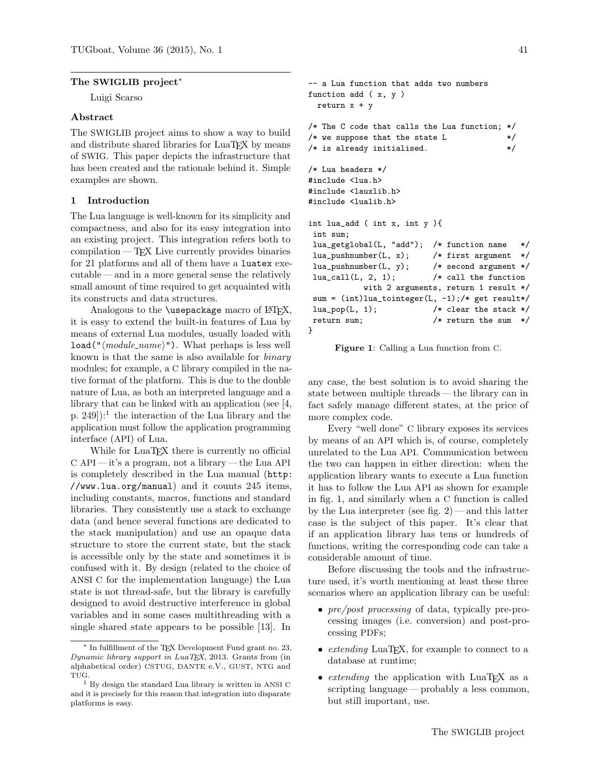### The SWIGLIB project<sup>\*</sup>

Luigi Scarso

### Abstract

The SWIGLIB project aims to show a way to build and distribute shared libraries for LuaT<sub>EX</sub> by means of SWIG. This paper depicts the infrastructure that has been created and the rationale behind it. Simple examples are shown.

## 1 Introduction

The Lua language is well-known for its simplicity and compactness, and also for its easy integration into an existing project. This integration refers both to compilation— TEX Live currently provides binaries for 21 platforms and all of them have a luatex executable — and in a more general sense the relatively small amount of time required to get acquainted with its constructs and data structures.

Analogous to the  $\iota$ usepackage macro of LAT<sub>EX</sub>, it is easy to extend the built-in features of Lua by means of external Lua modules, usually loaded with  $load("*module_name*)"). What perhaps is less well$ known is that the same is also available for binary modules; for example, a C library compiled in the native format of the platform. This is due to the double nature of Lua, as both an interpreted language and a library that can be linked with an application (see [\[4,](#page-6-0) p. 249]):<sup>[1](#page-0-0)</sup> the interaction of the Lua library and the application must follow the application programming interface (API) of Lua.

While for LuaT<sub>EX</sub> there is currently no official C API — it's a program, not a library — the Lua API is completely described in the Lua manual ([http:](http://www.lua.org/manual) [//www.lua.org/manual](http://www.lua.org/manual)) and it counts 245 items, including constants, macros, functions and standard libraries. They consistently use a stack to exchange data (and hence several functions are dedicated to the stack manipulation) and use an opaque data structure to store the current state, but the stack is accessible only by the state and sometimes it is confused with it. By design (related to the choice of ANSI C for the implementation language) the Lua state is not thread-safe, but the library is carefully designed to avoid destructive interference in global variables and in some cases multithreading with a single shared state appears to be possible [\[13\]](#page-6-1). In

```
-- a Lua function that adds two numbers
function add ( x, y )
 return x + y
/* The C code that calls the Lua function; */
/* we suppose that the state L */* is already initialised. *//* Lua headers */
#include <lua.h>
#include <lauxlib.h>
#include <lualib.h>
int lua_add ( int x, int y ){
int sum;
lua_getglobal(L, "add"); /* function name */
lua_pushnumber(L, x); /* first argument */lua_pushnumber(L, y); /* second argument */
lua\_call(L, 2, 1); /* call the function
          with 2 arguments, return 1 result */
sum = (int)lua_tointeger(L, -1);/* get result*/
lua\_pop(L, 1); /* clear the stack */
return sum; /* return the sum */
}
```
<span id="page-0-1"></span>Figure 1: Calling a Lua function from C.

any case, the best solution is to avoid sharing the state between multiple threads — the library can in fact safely manage different states, at the price of more complex code.

Every "well done" C library exposes its services by means of an API which is, of course, completely unrelated to the Lua API. Communication between the two can happen in either direction: when the application library wants to execute a Lua function it has to follow the Lua API as shown for example in fig. [1,](#page-0-1) and similarly when a C function is called by the Lua interpreter (see fig.  $2$ ) — and this latter case is the subject of this paper. It's clear that if an application library has tens or hundreds of functions, writing the corresponding code can take a considerable amount of time.

Before discussing the tools and the infrastructure used, it's worth mentioning at least these three scenarios where an application library can be useful:

- *pre/post processing* of data, typically pre-processing images (i.e. conversion) and post-processing PDFs;
- extending LuaT<sub>F</sub>X, for example to connect to a database at runtime;
- *extending* the application with LuaT<sub>EX</sub> as a scripting language— probably a less common, but still important, use.

<sup>∗</sup> In fulfillment of the TEX Development Fund grant no. 23, Dynamic library support in LuaTEX, 2013. Grants from (in alphabetical order) CSTUG, DANTE e.V., GUST, NTG and TUG.

<span id="page-0-0"></span><sup>1</sup> By design the standard Lua library is written in ANSI C and it is precisely for this reason that integration into disparate platforms is easy.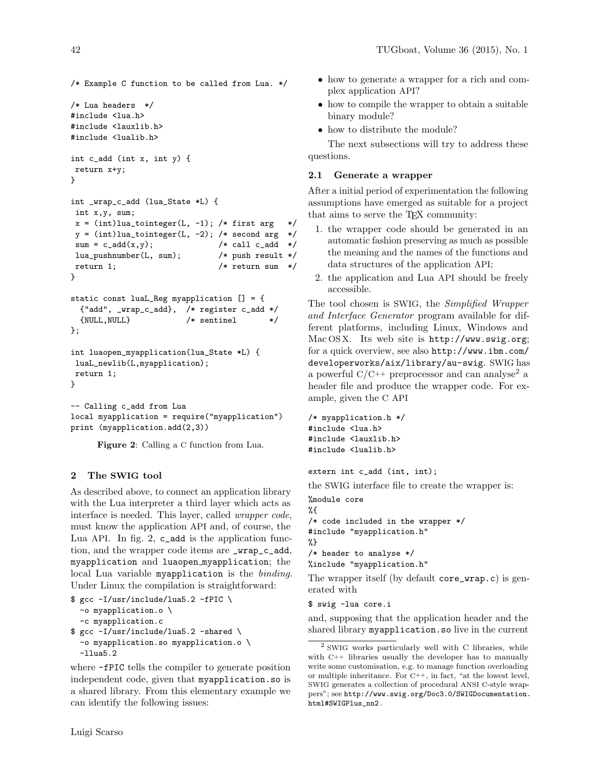/\* Example C function to be called from Lua. \*/  $/*$  Lua headers  $*/$ #include <lua.h> #include <lauxlib.h> #include <lualib.h> int c\_add (int x, int y) { return x+y; } int \_wrap\_c\_add (lua\_State \*L) { int x,y, sum;  $x = (int)$ lua\_tointeger(L, -1); /\* first arg \*/  $y = (int)$ lua\_tointeger(L, -2); /\* second arg \*/  $sum = c\_add(x, y);$  /\* call  $c\_add$  \*/ lua\_pushnumber(L, sum); /\* push result \*/ return 1;  $/*$  return sum  $*/$ } static const luaL\_Reg myapplication [] = { {"add", \_wrap\_c\_add}, /\* register c\_add \*/ {NULL,NULL} /\* sentinel \*/ }; int luaopen\_myapplication(lua\_State \*L) { luaL\_newlib(L,myapplication); return 1; }

```
-- Calling c_add from Lua
local myapplication = require("myapplication")
print (myapplication.add(2,3))
```
<span id="page-1-0"></span>Figure 2: Calling a C function from Lua.

### 2 The SWIG tool

As described above, to connect an application library with the Lua interpreter a third layer which acts as interface is needed. This layer, called wrapper code, must know the application API and, of course, the Lua API. In fig. [2,](#page-1-0) c\_add is the application function, and the wrapper code items are \_wrap\_c\_add, myapplication and luaopen myapplication; the local Lua variable myapplication is the binding. Under Linux the compilation is straightforward:

```
$ gcc -I/usr/include/lua5.2 -fPIC \
  -o myapplication.o \
  -c myapplication.c
$ gcc -I/usr/include/lua5.2 -shared \
  -o myapplication.so myapplication.o \
  -llua5.2
```
where -fPIC tells the compiler to generate position independent code, given that myapplication.so is a shared library. From this elementary example we can identify the following issues:

- how to compile the wrapper to obtain a suitable binary module?
- how to distribute the module?

The next subsections will try to address these questions.

### 2.1 Generate a wrapper

After a initial period of experimentation the following assumptions have emerged as suitable for a project that aims to serve the T<sub>F</sub>X community:

- 1. the wrapper code should be generated in an automatic fashion preserving as much as possible the meaning and the names of the functions and data structures of the application API;
- 2. the application and Lua API should be freely accessible.

The tool chosen is SWIG, the Simplified Wrapper and Interface Generator program available for different platforms, including Linux, Windows and Mac OS X. Its web site is <http://www.swig.org>; for a quick overview, see also [http://www.ibm.com/](http://www.ibm.com/developerworks/aix/library/au-swig) [developerworks/aix/library/au-swig](http://www.ibm.com/developerworks/aix/library/au-swig). SWIG has a powerful  $C/C^{++}$  preprocessor and can analyse<sup>[2](#page-1-1)</sup> a header file and produce the wrapper code. For example, given the C API

```
/* myapplication.h */
#include <lua.h>
#include <lauxlib.h>
#include <lualib.h>
```
extern int c\_add (int, int);

the SWIG interface file to create the wrapper is:

```
%module core
%{
/* code included in the wrapper */
#include "myapplication.h"
%}
/* header to analyse */
%include "myapplication.h"
```
The wrapper itself (by default core\_wrap.c) is generated with

\$ swig -lua core.i

and, supposing that the application header and the shared library myapplication.so live in the current

<span id="page-1-1"></span><sup>2</sup> SWIG works particularly well with C libraries, while with C++ libraries usually the developer has to manually write some customisation, e.g. to manage function overloading or multiple inheritance. For C++, in fact, "at the lowest level, SWIG generates a collection of procedural ANSI C-style wrappers"; see [http://www.swig.org/Doc3.0/SWIGDocumentation.](http://www.swig.org/Doc3.0/SWIGDocumentation.html#SWIGPlus_nn2) [html#SWIGPlus\\_nn2](http://www.swig.org/Doc3.0/SWIGDocumentation.html#SWIGPlus_nn2) .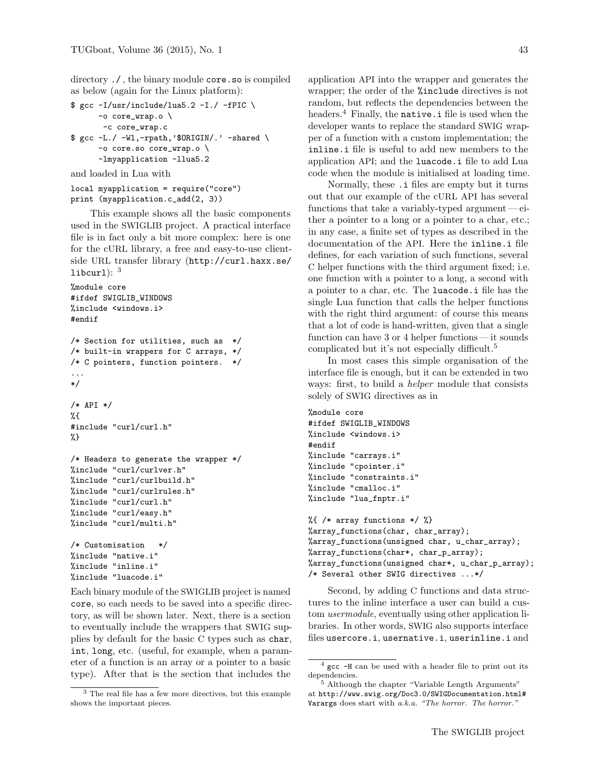directory ./ , the binary module core.so is compiled as below (again for the Linux platform):

```
$ gcc -I/usr/include/lua5.2 -I./ -IPIC \
     -o core_wrap.o \
      -c core_wrap.c
$ gcc -L./ -Wl,-rpath,'$ORIGIN/.' -shared \
      -o core.so core_wrap.o \
      -lmyapplication -llua5.2
```
and loaded in Lua with

```
local myapplication = require("core")
print (myapplication.c_add(2, 3))
```
This example shows all the basic components used in the SWIGLIB project. A practical interface file is in fact only a bit more complex: here is one for the cURL library, a free and easy-to-use clientside URL transfer library ([http://curl.haxx.se/](http://curl.haxx.se/libcurl) [libcurl](http://curl.haxx.se/libcurl) $)$ :  $3$ 

```
%module core
#ifdef SWIGLIB_WINDOWS
%include <windows.i>
#endif
/* Section for utilities, such as */
/* built-in wrappers for C arrays, */
/* C pointers, function pointers. */
...
*/
/* API */
%{
#include "curl/curl.h"
%}
/* Headers to generate the wrapper */
%include "curl/curlver.h"
%include "curl/curlbuild.h"
%include "curl/curlrules.h"
%include "curl/curl.h"
%include "curl/easy.h"
%include "curl/multi.h"
/* Customisation */
```

```
%include "native.i"
%include "inline.i"
%include "luacode.i"
```
Each binary module of the SWIGLIB project is named core, so each needs to be saved into a specific directory, as will be shown later. Next, there is a section to eventually include the wrappers that SWIG supplies by default for the basic C types such as char, int, long, etc. (useful, for example, when a parameter of a function is an array or a pointer to a basic type). After that is the section that includes the application API into the wrapper and generates the wrapper; the order of the %include directives is not random, but reflects the dependencies between the headers.<sup>[4](#page-2-1)</sup> Finally, the **native**  $\cdot$  **i** file is used when the developer wants to replace the standard SWIG wrapper of a function with a custom implementation; the inline.i file is useful to add new members to the application API; and the luacode.i file to add Lua code when the module is initialised at loading time.

Normally, these .i files are empty but it turns out that our example of the cURL API has several functions that take a variably-typed argument— either a pointer to a long or a pointer to a char, etc.; in any case, a finite set of types as described in the documentation of the API. Here the inline.i file defines, for each variation of such functions, several C helper functions with the third argument fixed; i.e. one function with a pointer to a long, a second with a pointer to a char, etc. The luacode.i file has the single Lua function that calls the helper functions with the right third argument: of course this means that a lot of code is hand-written, given that a single function can have 3 or 4 helper functions — it sounds complicated but it's not especially difficult.<sup>[5](#page-2-2)</sup>

In most cases this simple organisation of the interface file is enough, but it can be extended in two ways: first, to build a *helper* module that consists solely of SWIG directives as in

```
%module core
#ifdef SWIGLIB_WINDOWS
%include <windows.i>
#endif
%include "carrays.i"
%include "cpointer.i"
%include "constraints.i"
%include "cmalloc.i"
%include "lua_fnptr.i"
%{ /* array functions */ %}
%array_functions(char, char_array);
%array_functions(unsigned char, u_char_array);
%array_functions(char*, char_p_array);
%array_functions(unsigned char*, u_char_p_array);
/* Several other SWIG directives ...*/
```
Second, by adding C functions and data structures to the inline interface a user can build a custom *usermodule*, eventually using other application libraries. In other words, SWIG also supports interface files usercore.i, usernative.i, userinline.i and

<span id="page-2-0"></span><sup>3</sup> The real file has a few more directives, but this example shows the important pieces.

<span id="page-2-1"></span> $4 \text{ gcc}$  -H can be used with a header file to print out its dependencies.

<span id="page-2-2"></span><sup>&</sup>lt;sup>5</sup> Although the chapter "Variable Length Arguments" at [http://www.swig.org/Doc3.0/SWIGDocumentation.html#](http://www.swig.org/Doc3.0/SWIGDocumentation.html#Varargs) [Varargs](http://www.swig.org/Doc3.0/SWIGDocumentation.html#Varargs) does start with  $a.k.a.$  "The horror. The horror."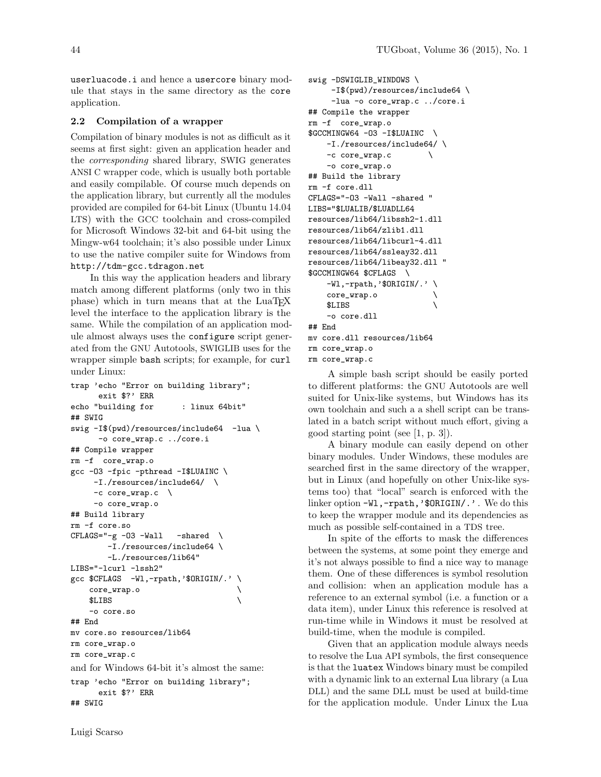userluacode.i and hence a usercore binary module that stays in the same directory as the core application.

#### 2.2 Compilation of a wrapper

Compilation of binary modules is not as difficult as it seems at first sight: given an application header and the corresponding shared library, SWIG generates ANSI C wrapper code, which is usually both portable and easily compilable. Of course much depends on the application library, but currently all the modules provided are compiled for 64-bit Linux (Ubuntu 14.04 LTS) with the GCC toolchain and cross-compiled for Microsoft Windows 32-bit and 64-bit using the Mingw-w64 toolchain; it's also possible under Linux to use the native compiler suite for Windows from <http://tdm-gcc.tdragon.net>

In this way the application headers and library match among different platforms (only two in this phase) which in turn means that at the LuaTEX level the interface to the application library is the same. While the compilation of an application module almost always uses the configure script generated from the GNU Autotools, SWIGLIB uses for the wrapper simple bash scripts; for example, for curl under Linux:

```
trap 'echo "Error on building library";
     exit $?' ERR
echo "building for : linux 64bit"
## SWIG
swig -I$(pwd)/resources/include64 -lua \-o core_wrap.c ../core.i
## Compile wrapper
rm -f core_wrap.o
gcc -O3 -fpic -pthread -I$LUAINC \
    -I./resources/include64/ \
    -c core_wrap.c \
    -o core_wrap.o
## Build library
rm -f core.so
CFLAGS="-g -03 -Wall -shared \ \-I./resources/include64 \
       -L./resources/lib64"
LIBS="-lcurl -lssh2"
gcc $CFLAGS -Wl,-rpath,'$ORIGIN/.' \
   core_wrap.o \
   $LIBS \
    -o core.so
## End
mv core.so resources/lib64
rm core_wrap.o
rm core_wrap.c
and for Windows 64-bit it's almost the same:
trap 'echo "Error on building library";
     exit $?' ERR
## SWIG
```

```
swig -DSWIGLIB_WINDOWS \
    -I$(pwd)/resources/include64 \
    -lua -o core_wrap.c ../core.i
## Compile the wrapper
rm -f core_wrap.o
$GCCMINGW64 -O3 -I$LUAINC \
   -I./resources/include64/ \
    -c core_wrap.c \
   -o core_wrap.o
## Build the library
rm -f core.dll
CFLAGS="-O3 -Wall -shared "
LIBS="$LUALIB/$LUADLL64
resources/lib64/libssh2-1.dll
resources/lib64/zlib1.dll
resources/lib64/libcurl-4.dll
resources/lib64/ssleay32.dll
resources/lib64/libeay32.dll "
$GCCMINGW64 $CFLAGS \
   -W1,-rpath,'$ORIGIN/.' \
   core_wrap.o \
   $LIBS \
   -o core.dll
```

```
rm core_wrap.o
rm core_wrap.c
```
mv core.dll resources/lib64

## End

A simple bash script should be easily ported to different platforms: the GNU Autotools are well suited for Unix-like systems, but Windows has its own toolchain and such a a shell script can be translated in a batch script without much effort, giving a good starting point (see [\[1,](#page-6-2) p. 3]).

A binary module can easily depend on other binary modules. Under Windows, these modules are searched first in the same directory of the wrapper, but in Linux (and hopefully on other Unix-like systems too) that "local" search is enforced with the linker option -W1,-rpath,'\$ORIGIN/.'. We do this to keep the wrapper module and its dependencies as much as possible self-contained in a TDS tree.

In spite of the efforts to mask the differences between the systems, at some point they emerge and it's not always possible to find a nice way to manage them. One of these differences is symbol resolution and collision: when an application module has a reference to an external symbol (i.e. a function or a data item), under Linux this reference is resolved at run-time while in Windows it must be resolved at build-time, when the module is compiled.

Given that an application module always needs to resolve the Lua API symbols, the first consequence is that the luatex Windows binary must be compiled with a dynamic link to an external Lua library (a Lua DLL) and the same DLL must be used at build-time for the application module. Under Linux the Lua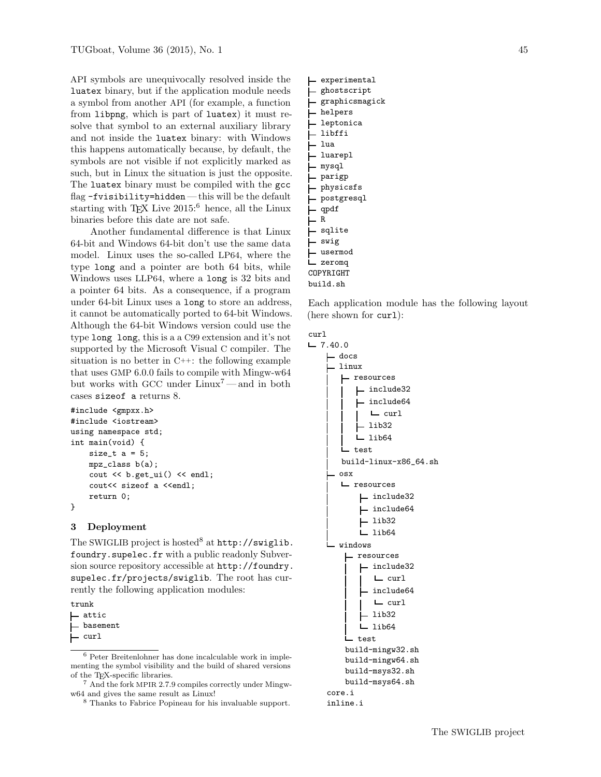API symbols are unequivocally resolved inside the luatex binary, but if the application module needs a symbol from another API (for example, a function from libpng, which is part of luatex) it must resolve that symbol to an external auxiliary library and not inside the luatex binary: with Windows this happens automatically because, by default, the symbols are not visible if not explicitly marked as such, but in Linux the situation is just the opposite. The luatex binary must be compiled with the gcc flag -fvisibility=hidden — this will be the default starting with TEX Live  $2015$ <sup>[6](#page-4-0)</sup> hence, all the Linux binaries before this date are not safe.

Another fundamental difference is that Linux 64-bit and Windows 64-bit don't use the same data model. Linux uses the so-called LP64, where the type long and a pointer are both 64 bits, while Windows uses LLP64, where a long is 32 bits and a pointer 64 bits. As a consequence, if a program under 64-bit Linux uses a long to store an address, it cannot be automatically ported to 64-bit Windows. Although the 64-bit Windows version could use the type long long, this is a a C99 extension and it's not supported by the Microsoft Visual C compiler. The situation is no better in C++: the following example that uses GMP 6.0.0 fails to compile with Mingw-w64 but works with GCC under Linux[7](#page-4-1) — and in both cases sizeof a returns 8.

```
#include <gmpxx.h>
#include <iostream>
using namespace std;
int main(void) {
    size_t a = 5;
    mpz_class b(a);
    cout << b.get_ui() << endl;
    cout<< sizeof a <<endl;
    return 0;
```
# }

### 3 Deployment

The SWIGLIB project is hosted<sup>[8](#page-4-2)</sup> at [http://swiglib.](http://swiglib.foundry.supelec.fr) [foundry.supelec.fr](http://swiglib.foundry.supelec.fr) with a public readonly Subversion source repository accessible at [http://foundry.](http://foundry.supelec.fr/projects/swiglib) [supelec.fr/projects/swiglib](http://foundry.supelec.fr/projects/swiglib). The root has currently the following application modules:

trunk

```
attic
```
- basement
- $\vdash$  curl

```
7 And the fork MPIR 2.7.9 compiles correctly under Mingw-
w64 and gives the same result as Linux!
```

```
8 Thanks to Fabrice Popineau for his invaluable support.
```

```
- experimental
.<br>|<br>|- ghostscript
.<br>|- graphicsmagick
- helpers
.<br>|<br>|- leptonica
libffi
L lua
 - luarepl
- mysql
- parigp
physicsfs
- postgresql
- qpdf
\vdash R
sqlite
swig
- usermod
zeromq
COPYRIGHT
build.sh
```
Each application module has the following layout (here shown for curl):

```
curl
L = 7.40.0
```

```
- docs
-linux
   - resources
      - include32
       - include64
         L curl
        - lib32
      L lib64
     test
   build-linux-x86_64.sh
  osx
   resources
        include32
       - include64
       \vdash lib32
       L 1ib64
  windows
    resources
       - include32
          L curl
          include64
          L curl
         lib32
         lib64
       L.
    L test
    build-mingw32.sh
    build-mingw64.sh
    build-msys32.sh
    build-msys64.sh
core.i
inline.i
```
<span id="page-4-0"></span><sup>6</sup> Peter Breitenlohner has done incalculable work in implementing the symbol visibility and the build of shared versions of the TEX-specific libraries.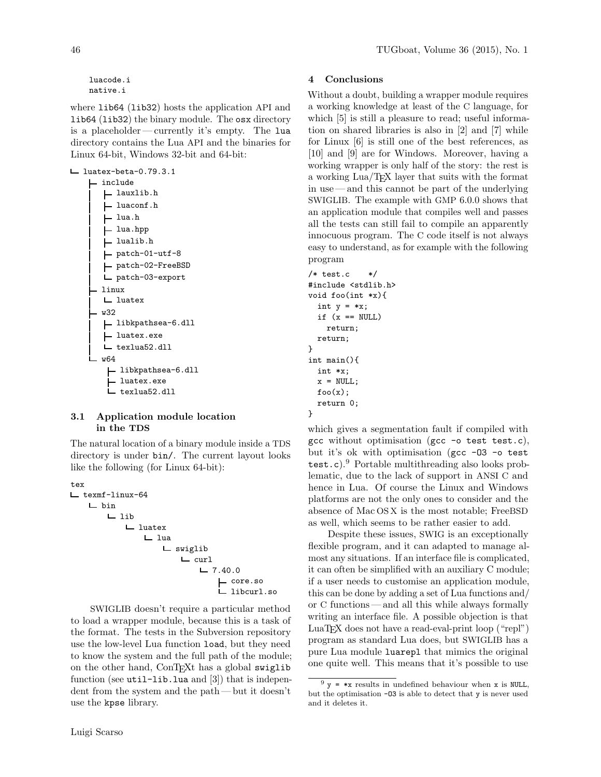where  $lib64$  (lib32) hosts the application API and lib64 (lib32) the binary module. The osx directory is a placeholder— currently it's empty. The lua directory contains the Lua API and the binaries for Linux 64-bit, Windows 32-bit and 64-bit:

 $L$  luatex-beta-0.79.3.1 L include lauxlib.h luaconf.h lua.h - lua.hpp lualib.h patch-01-utf-8 patch-02-FreeBSD patch-03-export linux luatex w32 libkpathsea-6.dll luatex.exe texlua52.dll w64 libkpathsea-6.dll luatex.exe L texlua52.dll

# 3.1 Application module location in the TDS

The natural location of a binary module inside a TDS directory is under bin/. The current layout looks like the following (for Linux 64-bit):

```
tex
texmf-linux-64
   bin
      L lib
          luatex
             L lua
                swiglib
                    L curl
                       -7.40.0core.so
                           libcurl.so
```
SWIGLIB doesn't require a particular method to load a wrapper module, because this is a task of the format. The tests in the Subversion repository use the low-level Lua function load, but they need to know the system and the full path of the module; on the other hand, ConTEXt has a global swiglib function (see  $util$ -lib.lua and  $[3]$ ) that is independent from the system and the path — but it doesn't use the kpse library.

# 4 Conclusions

Without a doubt, building a wrapper module requires a working knowledge at least of the C language, for which [\[5\]](#page-6-4) is still a pleasure to read; useful information on shared libraries is also in [\[2\]](#page-6-5) and [\[7\]](#page-6-6) while for Linux [\[6\]](#page-6-7) is still one of the best references, as [\[10\]](#page-6-8) and [\[9\]](#page-6-9) are for Windows. Moreover, having a working wrapper is only half of the story: the rest is a working Lua/TEX layer that suits with the format in use— and this cannot be part of the underlying SWIGLIB. The example with GMP 6.0.0 shows that an application module that compiles well and passes all the tests can still fail to compile an apparently innocuous program. The C code itself is not always easy to understand, as for example with the following program

```
/* test.c */#include <stdlib.h>
void foo(int *x){
  int y = *x;
 if (x == NULL)return;
 return;
}
int main(){
 int *x;
 x = NULL;foo(x);return 0;
}
```
which gives a segmentation fault if compiled with gcc without optimisation (gcc -o test test.c), but it's ok with optimisation (gcc -03 -o test  $test.c$ .<sup>[9](#page-5-0)</sup> Portable multithreading also looks problematic, due to the lack of support in ANSI C and hence in Lua. Of course the Linux and Windows platforms are not the only ones to consider and the absence of Mac OS X is the most notable; FreeBSD as well, which seems to be rather easier to add.

Despite these issues, SWIG is an exceptionally flexible program, and it can adapted to manage almost any situations. If an interface file is complicated, it can often be simplified with an auxiliary C module; if a user needs to customise an application module, this can be done by adding a set of Lua functions and/ or C functions— and all this while always formally writing an interface file. A possible objection is that LuaT<sub>E</sub>X does not have a read-eval-print loop ("repl") program as standard Lua does, but SWIGLIB has a pure Lua module luarepl that mimics the original one quite well. This means that it's possible to use

<span id="page-5-0"></span> $9 y = *x$  results in undefined behaviour when x is NULL, but the optimisation -O3 is able to detect that y is never used and it deletes it.